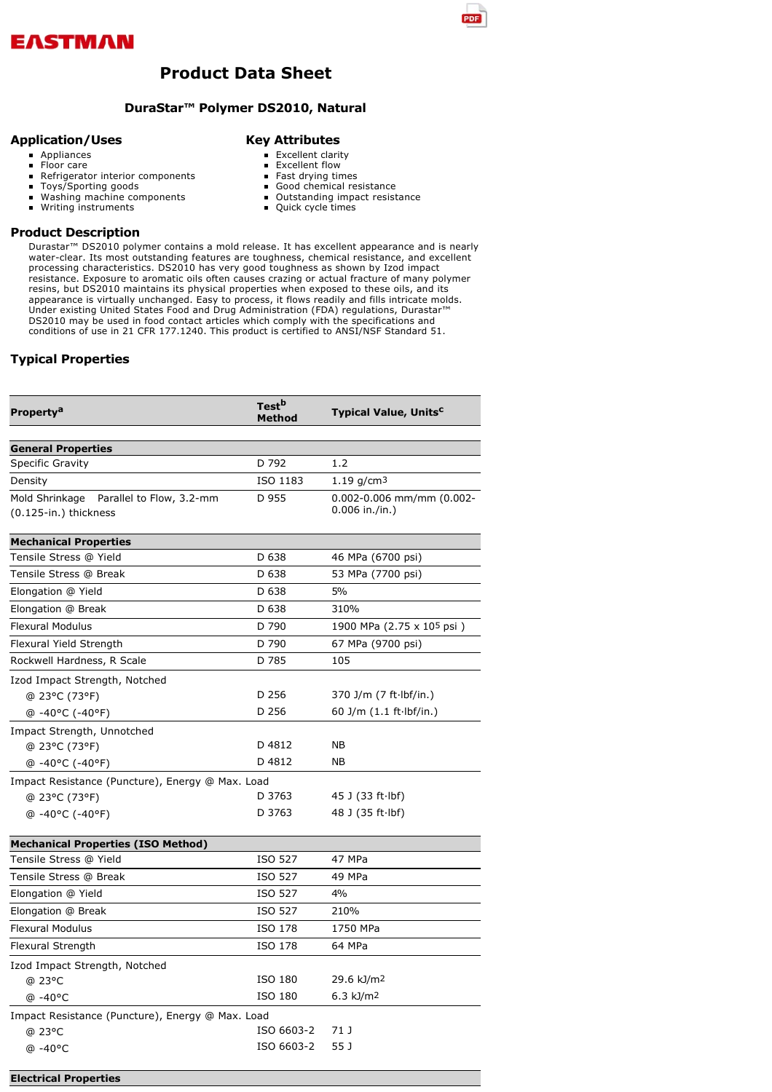

## **Product Data Sheet**

### **DuraStar™ Polymer DS2010, Natural**

### **Application/Uses**

### **Appliances**

# **Key Attributes**

Floor care

### Refrigerator interior components

- $\blacksquare$  $\blacksquare$
- Toys/Sporting goods  $\blacksquare$
- Washing machine components Writing instruments
- Quick cycle times

**Product Description**

Durastar™ DS2010 polymer contains a mold release. It has excellent appearance and is nearly water-clear. Its most outstanding features are toughness, chemical resistance, and excellent processing characteristics. DS2010 has very good toughness as shown by Izod impact resistance. Exposure to aromatic oils often causes crazing or actual fracture of many polymer resins, but DS2010 maintains its physical properties when exposed to these oils, and its appearance is virtually unchanged. Easy to process, it flows readily and fills intricate molds. Under existing United States Food and Drug Administration (FDA) regulations, Durastar™ DS2010 may be used in food contact articles which comply with the specifications and conditions of use in 21 CFR 177.1240. This product is certified to ANSI/NSF Standard 51.

### **Typical Properties**

| Property <sup>a</sup>                                               | Test <sup>b</sup><br>Method | <b>Typical Value, Units<sup>c</sup></b>           |  |
|---------------------------------------------------------------------|-----------------------------|---------------------------------------------------|--|
|                                                                     |                             |                                                   |  |
| <b>General Properties</b>                                           |                             |                                                   |  |
| Specific Gravity                                                    | D 792                       | 1.2                                               |  |
| Density                                                             | ISO 1183                    | $1.19$ g/cm <sup>3</sup>                          |  |
| Mold Shrinkage<br>Parallel to Flow, 3.2-mm<br>(0.125-in.) thickness | D 955                       | $0.002 - 0.006$ mm/mm (0.002-<br>$0.006$ in./in.) |  |
| <b>Mechanical Properties</b>                                        |                             |                                                   |  |
| Tensile Stress @ Yield                                              | D 638                       | 46 MPa (6700 psi)                                 |  |
| Tensile Stress @ Break                                              | D 638                       | 53 MPa (7700 psi)                                 |  |
| Elongation @ Yield                                                  | D 638                       | 5%                                                |  |
| Elongation @ Break                                                  | D 638                       | 310%                                              |  |
| <b>Flexural Modulus</b>                                             | D 790                       | 1900 MPa (2.75 x 105 psi)                         |  |
| Flexural Yield Strength                                             | D 790                       | 67 MPa (9700 psi)                                 |  |
| Rockwell Hardness, R Scale                                          | D 785                       | 105                                               |  |
| Izod Impact Strength, Notched                                       |                             |                                                   |  |
| @ 23°C (73°F)                                                       | D 256                       | 370 J/m (7 ft lbf/in.)                            |  |
| @-40°C (-40°F)                                                      | D 256                       | 60 J/m (1.1 ft Ibf/in.)                           |  |
| Impact Strength, Unnotched                                          |                             |                                                   |  |
| @ 23°C (73°F)                                                       | D 4812                      | NΒ                                                |  |
| @-40°C (-40°F)                                                      | D 4812                      | NΒ                                                |  |
| Impact Resistance (Puncture), Energy @ Max. Load                    |                             |                                                   |  |
| @ 23°C (73°F)                                                       | D 3763                      | 45 J (33 ft Ibf)                                  |  |
| @-40°C (-40°F)                                                      | D 3763                      | 48 J (35 ft lbf)                                  |  |
| <b>Mechanical Properties (ISO Method)</b>                           |                             |                                                   |  |
| Tensile Stress @ Yield                                              | ISO 527                     | 47 MPa                                            |  |
| Tensile Stress @ Break                                              | ISO 527                     | 49 MPa                                            |  |
| Elongation @ Yield                                                  | ISO 527                     | 4%                                                |  |
| Elongation @ Break                                                  | ISO 527                     | 210%                                              |  |
| <b>Flexural Modulus</b>                                             | ISO 178                     | 1750 MPa                                          |  |
| Flexural Strength                                                   | ISO 178                     | 64 MPa                                            |  |
| Izod Impact Strength, Notched                                       |                             |                                                   |  |
| @ 23°C                                                              | ISO 180                     | 29.6 kJ/m <sup>2</sup>                            |  |
| @ -40°C                                                             | ISO 180                     | 6.3 kJ/m2                                         |  |
| Impact Resistance (Puncture), Energy @ Max. Load                    |                             |                                                   |  |
| @ 23°C                                                              | ISO 6603-2                  | 71 J                                              |  |
| @ -40°C                                                             | ISO 6603-2                  | 55 J                                              |  |
| <b>Electrical Properties</b>                                        |                             |                                                   |  |

- Excellent clarity
- Excellent flow
- Fast drying times Good chemical resistance
- Outstanding impact resistance